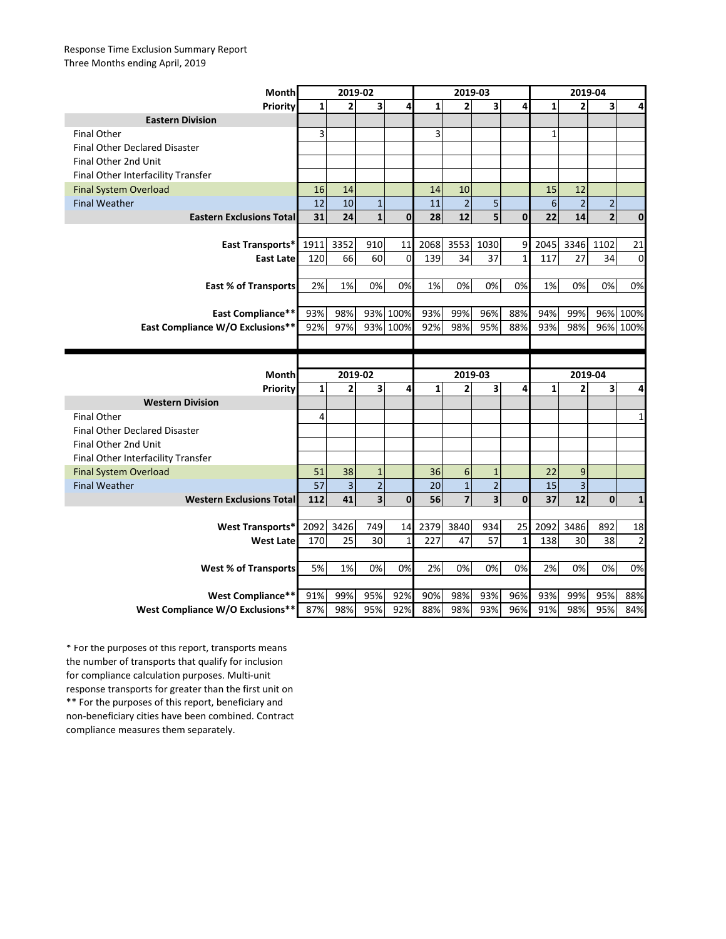## Response Time Exclusion Summary Report Three Months ending April, 2019

| <b>Month</b>                         | 2019-02 |                               |                                |                | 2019-03         |                |                   |             | 2019-04 |                   |                |                         |
|--------------------------------------|---------|-------------------------------|--------------------------------|----------------|-----------------|----------------|-------------------|-------------|---------|-------------------|----------------|-------------------------|
| <b>Priority</b>                      | 1       | 2                             | 3                              | 4              | 1               | 2              | 3                 | 4           | 1       | $\overline{2}$    | 3 <sup>1</sup> | 4                       |
| <b>Eastern Division</b>              |         |                               |                                |                |                 |                |                   |             |         |                   |                |                         |
| <b>Final Other</b>                   | 3       |                               |                                |                | 3               |                |                   |             | 1       |                   |                |                         |
| <b>Final Other Declared Disaster</b> |         |                               |                                |                |                 |                |                   |             |         |                   |                |                         |
| Final Other 2nd Unit                 |         |                               |                                |                |                 |                |                   |             |         |                   |                |                         |
| Final Other Interfacility Transfer   |         |                               |                                |                |                 |                |                   |             |         |                   |                |                         |
| <b>Final System Overload</b>         | 16      | 14                            |                                |                | 14              | 10             |                   |             | 15      | 12                |                |                         |
| <b>Final Weather</b>                 | 12      | 10                            | $\mathbf{1}$                   |                | 11              | $\overline{2}$ | 5                 |             | 6       | $\overline{2}$    | $\overline{2}$ |                         |
| <b>Eastern Exclusions Total</b>      | 31      | 24                            | $\mathbf{1}$                   | $\mathbf 0$    | 28              | 12             | 5 <sub>1</sub>    | $\bf{0}$    | 22      | 14                | $\overline{2}$ | $\bf{0}$                |
|                                      |         |                               |                                |                |                 |                |                   |             |         |                   |                |                         |
| <b>East Transports*</b>              | 1911    | 3352                          | 910                            | 11             | 2068            | 3553           | 1030              | 9           | 2045    | 3346              | 1102           | 21                      |
| <b>East Late</b>                     | 120     | 66                            | 60                             | $\overline{0}$ | 139             | 34             | 37                | 1           | 117     | 27                | 34             | 0                       |
|                                      |         |                               |                                |                |                 |                |                   |             |         |                   |                |                         |
| <b>East % of Transports</b>          | 2%      | 1%                            | 0%                             | 0%             | 1%              | 0%             | 0%                | 0%          | 1%      | 0%                | 0%             | 0%                      |
|                                      |         |                               |                                |                |                 |                |                   |             |         |                   |                |                         |
| <b>East Compliance**</b>             | 93%     | 98%                           |                                | 93% 100%       | 93%             | 99%            | 96%               | 88%         | 94%     | 99%               |                | 96% 100%                |
| East Compliance W/O Exclusions**     | 92%     | 97%                           |                                | 93% 100%       | 92%             | 98%            | 95%               | 88%         | 93%     | 98%               |                | 96% 100%                |
|                                      |         |                               |                                |                |                 |                |                   |             |         |                   |                |                         |
|                                      |         |                               |                                |                |                 |                |                   |             |         |                   |                |                         |
|                                      |         |                               |                                |                |                 |                |                   |             |         |                   |                |                         |
| <b>Month</b>                         |         | 2019-02                       |                                |                |                 | 2019-03        |                   |             |         | 2019-04           |                |                         |
| <b>Priority</b>                      | 1       | $\mathbf{2}$                  | 3                              | 4              | 1               | 2              | 3                 | 4           | 1       | $\overline{2}$    | 3 <sup>1</sup> | 4                       |
| <b>Western Division</b>              |         |                               |                                |                |                 |                |                   |             |         |                   |                |                         |
| <b>Final Other</b>                   | 4       |                               |                                |                |                 |                |                   |             |         |                   |                | 1                       |
| <b>Final Other Declared Disaster</b> |         |                               |                                |                |                 |                |                   |             |         |                   |                |                         |
| Final Other 2nd Unit                 |         |                               |                                |                |                 |                |                   |             |         |                   |                |                         |
| Final Other Interfacility Transfer   |         |                               |                                |                |                 |                |                   |             |         |                   |                |                         |
| <b>Final System Overload</b>         | 51      | 38                            | $\mathbf{1}$                   |                | 36              | 6              |                   |             | 22      | 9                 |                |                         |
| <b>Final Weather</b>                 | 57      | $\overline{\phantom{0}}$<br>Р | $\overline{ }$<br>$\mathbf{r}$ |                | 20 <sub>l</sub> | $\overline{1}$ | $\mathbf{\Omega}$ |             | 15      | $\mathbf{C}$<br>э |                |                         |
| <b>Western Exclusions Total</b>      | 112     | 41                            | $\overline{\mathbf{3}}$        | $\mathbf 0$    | 56              | $\overline{7}$ | 3 <sup>1</sup>    | $\mathbf 0$ | 37      | 12                | 0              | $\mathbf{1}$            |
|                                      |         |                               |                                |                |                 |                |                   |             |         |                   |                |                         |
| West Transports*                     | 2092    | 3426                          | 749                            | 14             | 2379            | 3840           | 934               | 25          | 2092    | 3486              | 892            | 18                      |
| <b>West Late</b>                     | 170     | 25                            | 30                             | $\mathbf{1}$   | 227             | 47             | 57                | 1           | 138     | 30                | 38             | $\overline{\mathbf{c}}$ |
|                                      |         |                               |                                |                |                 |                |                   |             |         |                   |                |                         |
| <b>West % of Transports</b>          | 5%      | 1%                            | 0%                             | 0%             | 2%              | 0%             | 0%                | 0%          | 2%      | 0%                | 0%             | 0%                      |
|                                      |         |                               |                                |                |                 |                |                   |             |         |                   |                |                         |
| <b>West Compliance**</b>             | 91%     | 99%                           | 95%                            | 92%            | 90%             | 98%            | 93%               | 96%         | 93%     | 99%               | 95%            | 88%                     |

\*\* For the purposes of this report, beneficiary and non-beneficiary cities have been combined. Contract compliance measures them separately. \* For the purposes of this report, transports means the number of transports that qualify for inclusion for compliance calculation purposes. Multi-unit response transports for greater than the first unit on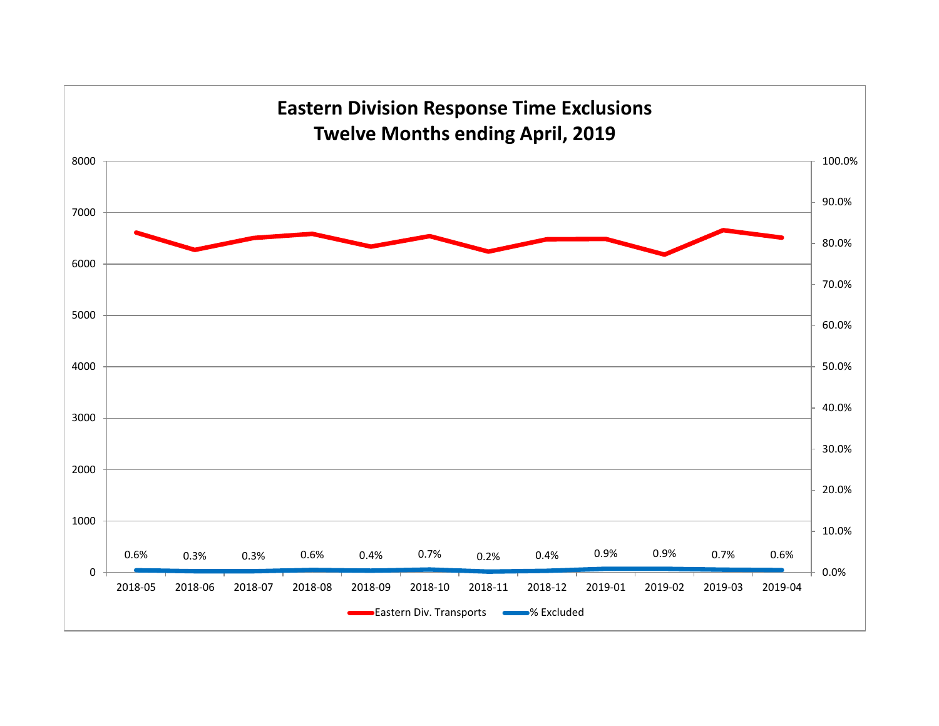